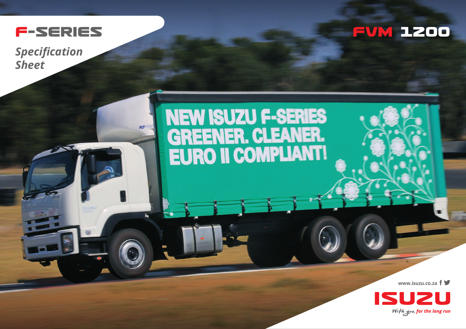

*Specification Sheet*



## **NEW ISUZU F-SERIES<br>GREENER. CLEANER.<br>EURO II COMPLIANT!**

**www.isuzu.co.za**